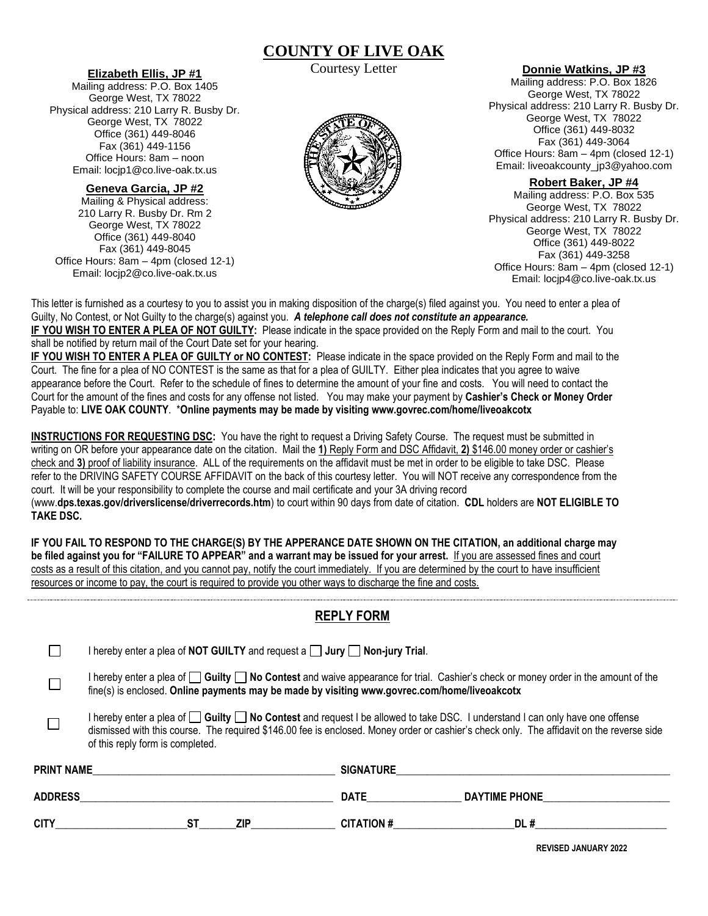## **COUNTY OF LIVE OAK** Courtesy Letter

#### **Elizabeth Ellis, JP #1**

Mailing address: P.O. Box 1405 George West, TX 78022 Physical address: 210 Larry R. Busby Dr. George West, TX 78022 Office (361) 449-8046 Fax (361) 449-1156 Office Hours: 8am – noon Email: locjp1@co.live-oak.tx.us

## **Geneva Garcia, JP #2**

Mailing & Physical address: 210 Larry R. Busby Dr. Rm 2 George West, TX 78022 Office (361) 449-8040 Fax (361) 449-8045 Office Hours: 8am – 4pm (closed 12-1) Email: locjp2@co.live-oak.tx.us



### **Donnie Watkins, JP #3**

Mailing address: P.O. Box 1826 George West, TX 78022 Physical address: 210 Larry R. Busby Dr. George West, TX 78022 Office (361) 449-8032 Fax (361) 449-3064 Office Hours: 8am – 4pm (closed 12-1) Email: liveoakcounty\_jp3@yahoo.com

#### **Robert Baker, JP #4**

Mailing address: P.O. Box 535 George West, TX 78022 Physical address: 210 Larry R. Busby Dr. George West, TX 78022 Office (361) 449-8022 Fax (361) 449-3258 Office Hours: 8am – 4pm (closed 12-1) Email: locjp4@co.live-oak.tx.us

This letter is furnished as a courtesy to you to assist you in making disposition of the charge(s) filed against you. You need to enter a plea of Guilty, No Contest, or Not Guilty to the charge(s) against you. *A telephone call does not constitute an appearance.* **IF YOU WISH TO ENTER A PLEA OF NOT GUILTY:** Please indicate in the space provided on the Reply Form and mail to the court. You shall be notified by return mail of the Court Date set for your hearing.

**IF YOU WISH TO ENTER A PLEA OF GUILTY or NO CONTEST:** Please indicate in the space provided on the Reply Form and mail to the Court. The fine for a plea of NO CONTEST is the same as that for a plea of GUILTY. Either plea indicates that you agree to waive appearance before the Court. Refer to the schedule of fines to determine the amount of your fine and costs. You will need to contact the Court for the amount of the fines and costs for any offense not listed. You may make your payment by **Cashier's Check or Money Order** Payable to: **LIVE OAK COUNTY**. \***Online payments may be made by visiting www.govrec.com/home/liveoakcotx**

**INSTRUCTIONS FOR REQUESTING DSC:** You have the right to request a Driving Safety Course. The request must be submitted in writing on OR before your appearance date on the citation. Mail the **1)** Reply Form and DSC Affidavit, **2)** \$146.00 money order or cashier's check and **3)** proof of liability insurance. ALL of the requirements on the affidavit must be met in order to be eligible to take DSC. Please refer to the DRIVING SAFETY COURSE AFFIDAVIT on the back of this courtesy letter. You will NOT receive any correspondence from the court. It will be your responsibility to complete the course and mail certificate and your 3A driving record (www.**dps.texas.gov/driverslicense/driverrecords.htm**) to court within 90 days from date of citation. **CDL** holders are **NOT ELIGIBLE TO TAKE DSC.**

**IF YOU FAIL TO RESPOND TO THE CHARGE(S) BY THE APPERANCE DATE SHOWN ON THE CITATION, an additional charge may be filed against you for "FAILURE TO APPEAR" and a warrant may be issued for your arrest.** If you are assessed fines and court costs as a result of this citation, and you cannot pay, notify the court immediately. If you are determined by the court to have insufficient resources or income to pay, the court is required to provide you other ways to discharge the fine and costs.

## **REPLY FORM**

|                   | I hereby enter a plea of NOT GUILTY and request a $\Box$ Jury $\Box$ Non-jury Trial.                                                                                                                                                                                                                                     |                  |                      |  |  |  |  |  |  |  |
|-------------------|--------------------------------------------------------------------------------------------------------------------------------------------------------------------------------------------------------------------------------------------------------------------------------------------------------------------------|------------------|----------------------|--|--|--|--|--|--|--|
|                   | I hereby enter a plea of $\Box$ Guilty $\Box$ No Contest and waive appearance for trial. Cashier's check or money order in the amount of the<br>fine(s) is enclosed. Online payments may be made by visiting www.govrec.com/home/liveoakcotx                                                                             |                  |                      |  |  |  |  |  |  |  |
|                   | I hereby enter a plea of $\Box$ Guilty $\Box$ No Contest and request I be allowed to take DSC. I understand I can only have one offense<br>dismissed with this course. The required \$146.00 fee is enclosed. Money order or cashier's check only. The affidavit on the reverse side<br>of this reply form is completed. |                  |                      |  |  |  |  |  |  |  |
| <b>PRINT NAME</b> |                                                                                                                                                                                                                                                                                                                          | <b>SIGNATURE</b> |                      |  |  |  |  |  |  |  |
| <b>ADDRESS</b>    |                                                                                                                                                                                                                                                                                                                          | <b>DATE</b>      | <b>DAYTIME PHONE</b> |  |  |  |  |  |  |  |
| <b>CITY</b>       | ST<br>ZIP                                                                                                                                                                                                                                                                                                                | <b>CITATION#</b> | DL#                  |  |  |  |  |  |  |  |

 **REVISED JANUARY 2022**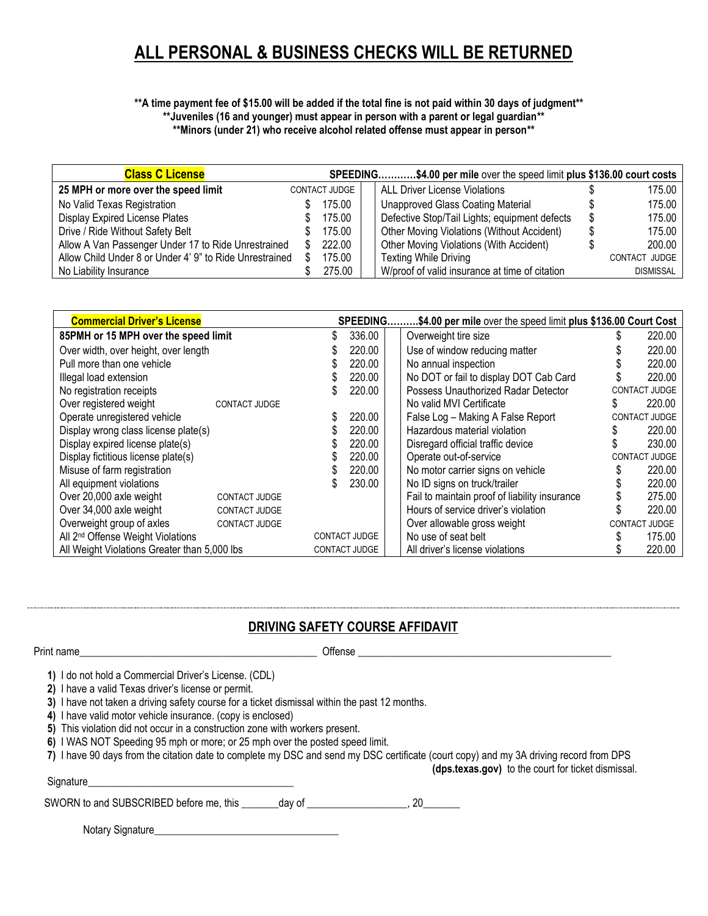# **ALL PERSONAL & BUSINESS CHECKS WILL BE RETURNED**

#### **\*\*A time payment fee of \$15.00 will be added if the total fine is not paid within 30 days of judgment\*\* \*\*Juveniles (16 and younger) must appear in person with a parent or legal guardian\*\***

**\*\*Minors (under 21) who receive alcohol related offense must appear in person\*\***

| <b>Class C License</b>                                  |    |               | SPEEDING\$4.00 per mile over the speed limit plus \$136.00 court costs |                  |
|---------------------------------------------------------|----|---------------|------------------------------------------------------------------------|------------------|
| 25 MPH or more over the speed limit                     |    | CONTACT JUDGE | <b>ALL Driver License Violations</b>                                   | 175.00           |
| No Valid Texas Registration                             |    | 175.00        | <b>Unapproved Glass Coating Material</b>                               | 175.00           |
| Display Expired License Plates                          |    | 175.00        | Defective Stop/Tail Lights; equipment defects                          | 175.00           |
| Drive / Ride Without Safety Belt                        |    | 175.00        | <b>Other Moving Violations (Without Accident)</b>                      | 175.00           |
| Allow A Van Passenger Under 17 to Ride Unrestrained     | S. | 222.00        | Other Moving Violations (With Accident)                                | 200.00           |
| Allow Child Under 8 or Under 4' 9" to Ride Unrestrained |    | 175.00        | <b>Texting While Driving</b>                                           | CONTACT JUDGE    |
| No Liability Insurance                                  |    | 275.00        | W/proof of valid insurance at time of citation                         | <b>DISMISSAL</b> |

| <b>Commercial Driver's License</b>                |  |                      | .\$4.00 per mile over the speed limit plus \$136.00 Court Cost<br><b>SPEEDING.</b> |                                               |  |                      |
|---------------------------------------------------|--|----------------------|------------------------------------------------------------------------------------|-----------------------------------------------|--|----------------------|
| 85PMH or 15 MPH over the speed limit              |  | 336.00               |                                                                                    | Overweight tire size                          |  | 220.00               |
| Over width, over height, over length              |  | 220.00               |                                                                                    | Use of window reducing matter                 |  | 220.00               |
| Pull more than one vehicle                        |  | 220.00               |                                                                                    | No annual inspection                          |  | 220.00               |
| Illegal load extension                            |  | 220.00               |                                                                                    | No DOT or fail to display DOT Cab Card        |  | 220.00               |
| No registration receipts                          |  | 220.00               |                                                                                    | Possess Unauthorized Radar Detector           |  | CONTACT JUDGE        |
| Over registered weight<br>CONTACT JUDGE           |  |                      |                                                                                    | No valid MVI Certificate                      |  | 220.00               |
| Operate unregistered vehicle                      |  | 220.00               |                                                                                    | False Log - Making A False Report             |  | CONTACT JUDGE        |
| Display wrong class license plate(s)              |  | 220.00               |                                                                                    | Hazardous material violation                  |  | 220.00               |
| Display expired license plate(s)                  |  | 220.00               |                                                                                    | Disregard official traffic device             |  | 230.00               |
| Display fictitious license plate(s)               |  | 220.00               |                                                                                    | Operate out-of-service                        |  | CONTACT JUDGE        |
| Misuse of farm registration                       |  | 220.00               |                                                                                    | No motor carrier signs on vehicle             |  | 220.00               |
| All equipment violations                          |  | 230.00               |                                                                                    | No ID signs on truck/trailer                  |  | 220.00               |
| Over 20,000 axle weight<br>CONTACT JUDGE          |  |                      |                                                                                    | Fail to maintain proof of liability insurance |  | 275.00               |
| Over 34,000 axle weight<br>CONTACT JUDGE          |  |                      |                                                                                    | Hours of service driver's violation           |  | 220.00               |
| Overweight group of axles<br><b>CONTACT JUDGE</b> |  |                      |                                                                                    | Over allowable gross weight                   |  | <b>CONTACT JUDGE</b> |
| All 2 <sup>nd</sup> Offense Weight Violations     |  | <b>CONTACT JUDGE</b> |                                                                                    | No use of seat belt                           |  | 175.00               |
| All Weight Violations Greater than 5,000 lbs      |  | <b>CONTACT JUDGE</b> |                                                                                    | All driver's license violations               |  | 220.00               |

## **DRIVING SAFETY COURSE AFFIDAVIT**

Print name\_\_\_\_\_\_\_\_\_\_\_\_\_\_\_\_\_\_\_\_\_\_\_\_\_\_\_\_\_\_\_\_\_\_\_\_\_\_\_\_\_\_\_\_\_ Offense \_\_\_\_\_\_\_\_\_\_\_\_\_\_\_\_\_\_\_\_\_\_\_\_\_\_\_\_\_\_\_\_\_\_\_\_\_\_\_\_\_\_\_\_\_\_\_\_

**1)** I do not hold a Commercial Driver's License. (CDL)

**2)** I have a valid Texas driver's license or permit.

**3)** I have not taken a driving safety course for a ticket dismissal within the past 12 months.

**4)** I have valid motor vehicle insurance. (copy is enclosed)

**5)** This violation did not occur in a construction zone with workers present.

**6)** I WAS NOT Speeding 95 mph or more; or 25 mph over the posted speed limit.

|  |  |  |  | 7) I have 90 days from the citation date to complete my DSC and send my DSC certificate (court copy) and my 3A driving record from DPS |
|--|--|--|--|----------------------------------------------------------------------------------------------------------------------------------------|
|  |  |  |  |                                                                                                                                        |

**(dps.texas.gov)** to the court for ticket dismissal.

SWORN to and SUBSCRIBED before me, this \_\_\_\_\_\_\_day of \_\_\_\_\_\_\_\_\_\_\_\_\_\_\_\_, 20\_\_\_\_\_\_\_

Notary Signature